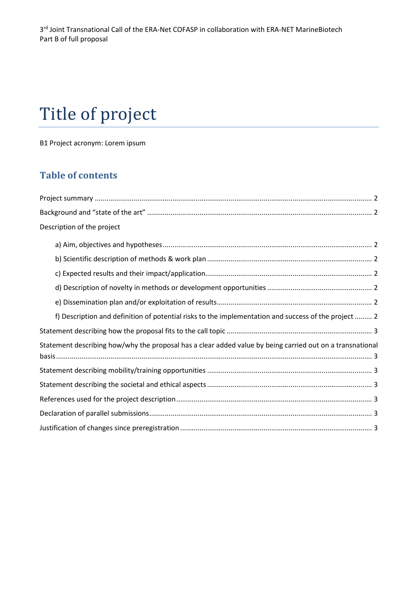# Title of project

B1 Project acronym: Lorem ipsum

## **Table of contents**

| Description of the project                                                                                |
|-----------------------------------------------------------------------------------------------------------|
|                                                                                                           |
|                                                                                                           |
|                                                                                                           |
|                                                                                                           |
|                                                                                                           |
| f) Description and definition of potential risks to the implementation and success of the project  2      |
|                                                                                                           |
| Statement describing how/why the proposal has a clear added value by being carried out on a transnational |
|                                                                                                           |
|                                                                                                           |
|                                                                                                           |
|                                                                                                           |
|                                                                                                           |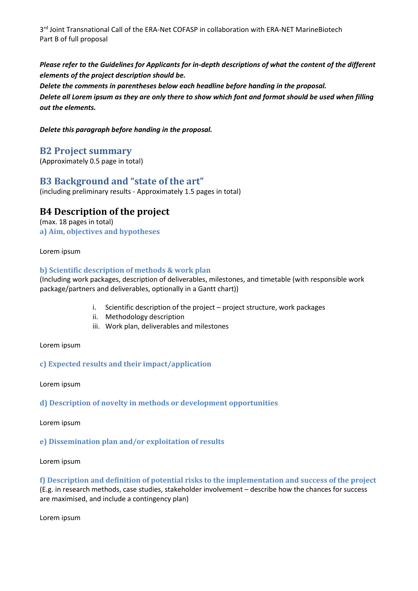3<sup>rd</sup> Joint Transnational Call of the ERA-Net COFASP in collaboration with ERA-NET MarineBiotech Part B of full proposal

*Please refer to the Guidelines for Applicants for in-depth descriptions of what the content of the different elements of the project description should be. Delete the comments in parentheses below each headline before handing in the proposal. Delete all Lorem ipsum as they are only there to show which font and format should be used when filling out the elements.*

*Delete this paragraph before handing in the proposal.*

#### <span id="page-1-0"></span>**B2 Project summary**

(Approximately 0.5 page in total)

## <span id="page-1-1"></span>**B3 Background and "state of the art"**

(including preliminary results - Approximately 1.5 pages in total)

## **B4 Description of the project**

<span id="page-1-2"></span>(max. 18 pages in total) **a) Aim, objectives and hypotheses**

Lorem ipsum

#### <span id="page-1-3"></span>**b) Scientific description of methods & work plan**

(Including work packages, description of deliverables, milestones, and timetable (with responsible work package/partners and deliverables, optionally in a Gantt chart))

- i. Scientific description of the project project structure, work packages
- ii. Methodology description
- iii. Work plan, deliverables and milestones

Lorem ipsum

#### <span id="page-1-4"></span>**c) Expected results and their impact/application**

Lorem ipsum

<span id="page-1-5"></span>**d) Description of novelty in methods or development opportunities**

Lorem ipsum

<span id="page-1-6"></span>**e) Dissemination plan and/or exploitation of results**

Lorem ipsum

<span id="page-1-7"></span>**f) Description and definition of potential risks to the implementation and success of the project** (E.g. in research methods, case studies, stakeholder involvement – describe how the chances for success are maximised, and include a contingency plan)

Lorem ipsum